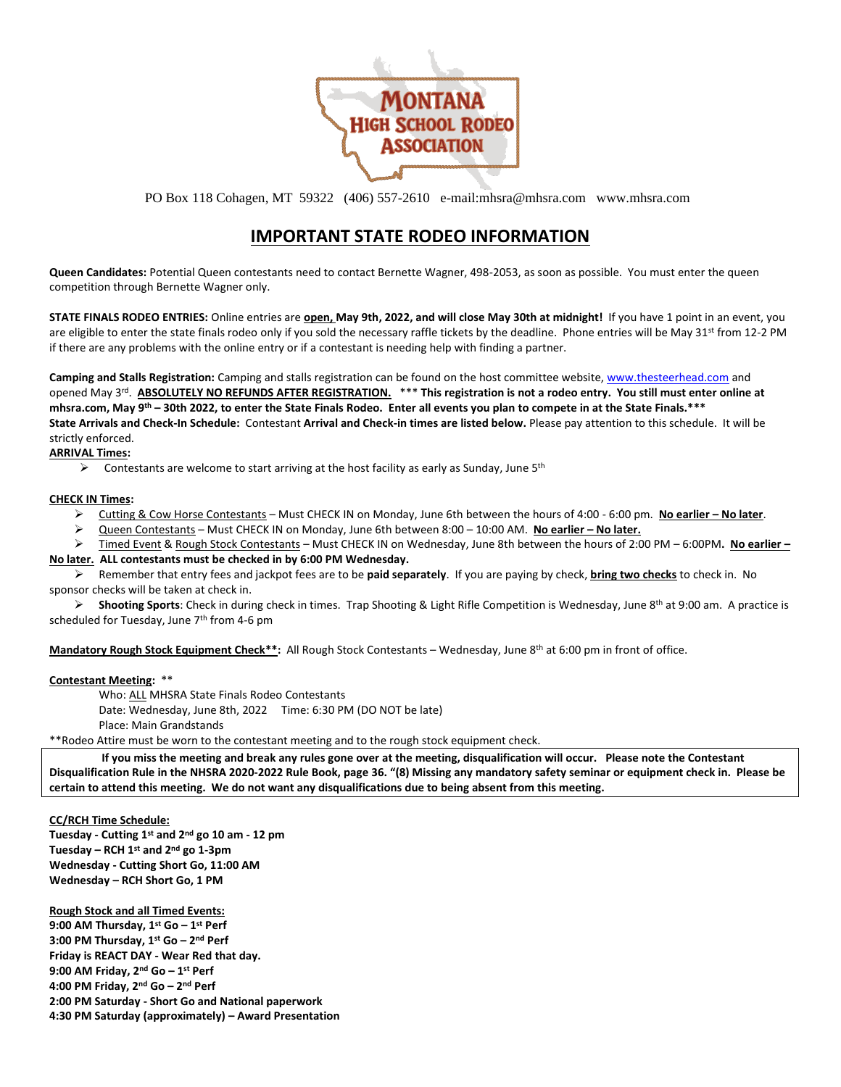

PO Box 118 Cohagen, MT 59322 (406) 557-2610 e-mail:mhsra@mhsra.com www.mhsra.com

## **IMPORTANT STATE RODEO INFORMATION**

**Queen Candidates:** Potential Queen contestants need to contact Bernette Wagner, 498-2053, as soon as possible. You must enter the queen competition through Bernette Wagner only.

**STATE FINALS RODEO ENTRIES:** Online entries are **open, May 9th, 2022, and will close May 30th at midnight!** If you have 1 point in an event, you are eligible to enter the state finals rodeo only if you sold the necessary raffle tickets by the deadline. Phone entries will be May 31<sup>st</sup> from 12-2 PM if there are any problems with the online entry or if a contestant is needing help with finding a partner.

**Camping and Stalls Registration:** Camping and stalls registration can be found on the host committee website, [www.thesteerhead.com](http://www.thesteerhead.com/) and opened May 3<sup>rd</sup>. ABSOLUTELY NO REFUNDS AFTER REGISTRATION. <sup>\*\*\*</sup> This registration is not a rodeo entry. You still must enter online at **mhsra.com, May 9th – 30th 2022, to enter the State Finals Rodeo. Enter all events you plan to compete in at the State Finals.\*\*\* State Arrivals and Check-In Schedule:** Contestant **Arrival and Check-in times are listed below.** Please pay attention to this schedule. It will be strictly enforced.

**ARRIVAL Times:**

 $\triangleright$  Contestants are welcome to start arriving at the host facility as early as Sunday, June 5<sup>th</sup>

## **CHECK IN Times:**

- ➢ Cutting & Cow Horse Contestants Must CHECK IN on Monday, June 6th between the hours of 4:00 6:00 pm. **No earlier – No later**.
- ➢ Queen Contestants Must CHECK IN on Monday, June 6th between 8:00 10:00 AM. **No earlier – No later.**

➢ Timed Event & Rough Stock Contestants – Must CHECK IN on Wednesday, June 8th between the hours of 2:00 PM – 6:00PM**. No earlier –**

## **No later. ALL contestants must be checked in by 6:00 PM Wednesday.**

➢ Remember that entry fees and jackpot fees are to be **paid separately**. If you are paying by check, **bring two checks** to check in. No sponsor checks will be taken at check in.

➢ **Shooting Sports**: Check in during check in times. Trap Shooting & Light Rifle Competition is Wednesday, June 8th at 9:00 am. A practice is scheduled for Tuesday, June 7th from 4-6 pm

**Mandatory Rough Stock Equipment Check\*\*:** All Rough Stock Contestants – Wednesday, June 8th at 6:00 pm in front of office.

## **Contestant Meeting:** \*\*

Who: ALL MHSRA State Finals Rodeo Contestants Date: Wednesday, June 8th, 2022 Time: 6:30 PM (DO NOT be late) Place: Main Grandstands

\*\*Rodeo Attire must be worn to the contestant meeting and to the rough stock equipment check.

**If you miss the meeting and break any rules gone over at the meeting, disqualification will occur. Please note the Contestant Disqualification Rule in the NHSRA 2020-2022 Rule Book, page 36. "(8) Missing any mandatory safety seminar or equipment check in. Please be certain to attend this meeting. We do not want any disqualifications due to being absent from this meeting.** 

**CC/RCH Time Schedule:** 

**Tuesday - Cutting 1st and 2nd go 10 am - 12 pm Tuesday – RCH 1st and 2nd go 1-3pm Wednesday - Cutting Short Go, 11:00 AM Wednesday – RCH Short Go, 1 PM**

**Rough Stock and all Timed Events: 9:00 AM Thursday, 1st Go – 1 st Perf 3:00 PM Thursday, 1st Go – 2 nd Perf Friday is REACT DAY - Wear Red that day. 9:00 AM Friday, 2nd Go – 1 st Perf 4:00 PM Friday, 2nd Go – 2 nd Perf 2:00 PM Saturday - Short Go and National paperwork 4:30 PM Saturday (approximately) – Award Presentation**